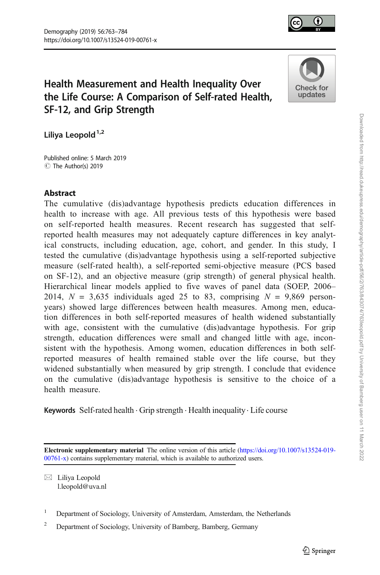# Health Measurement and Health Inequality Over the Life Course: A Comparison of Self-rated Health, SF-12, and Grip Strength

Liliya Leopold $1,2$ 

Published online: 5 March 2019 C The Author(s) 2019

## Abstract

The cumulative (dis)advantage hypothesis predicts education differences in health to increase with age. All previous tests of this hypothesis were based on self-reported health measures. Recent research has suggested that selfreported health measures may not adequately capture differences in key analytical constructs, including education, age, cohort, and gender. In this study, I tested the cumulative (dis)advantage hypothesis using a self-reported subjective measure (self-rated health), a self-reported semi-objective measure (PCS based on SF-12), and an objective measure (grip strength) of general physical health. Hierarchical linear models applied to five waves of panel data (SOEP, 2006– 2014,  $N = 3,635$  individuals aged 25 to 83, comprising  $N = 9,869$  personyears) showed large differences between health measures. Among men, education differences in both self-reported measures of health widened substantially with age, consistent with the cumulative (dis)advantage hypothesis. For grip strength, education differences were small and changed little with age, inconsistent with the hypothesis. Among women, education differences in both selfreported measures of health remained stable over the life course, but they widened substantially when measured by grip strength. I conclude that evidence on the cumulative (dis)advantage hypothesis is sensitive to the choice of a health measure.

Keywords Self-rated health · Grip strength · Health inequality · Life course

 $\boxtimes$  Liliya Leopold [l.leopold@uva.nl](mailto:l.leopold@uva.nl)





Electronic supplementary material The online version of this article [\(https://doi.org/10.1007/s13524-019-](https://doi.org/10.1007/s13524-019-00761-x) [00761-x\)](https://doi.org/10.1007/s13524-019-00761-x) contains supplementary material, which is available to authorized users.

<sup>&</sup>lt;sup>1</sup> Department of Sociology, University of Amsterdam, Amsterdam, the Netherlands

<sup>&</sup>lt;sup>2</sup> Department of Sociology, University of Bamberg, Bamberg, Germany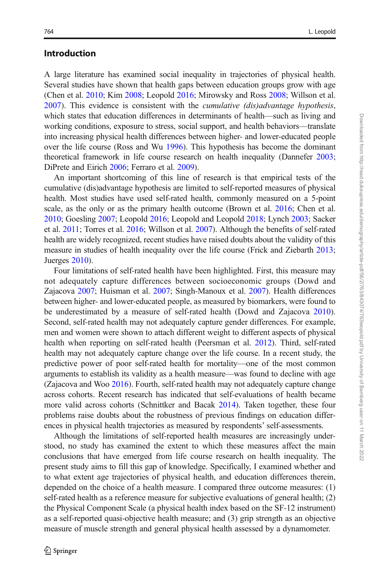#### Introduction

A large literature has examined social inequality in trajectories of physical health. Several studies have shown that health gaps between education groups grow with age (Chen et al. [2010;](#page-19-0) Kim [2008](#page-19-0); Leopold [2016](#page-20-0); Mirowsky and Ross [2008;](#page-20-0) Willson et al. [2007\)](#page-21-0). This evidence is consistent with the *cumulative (dis)advantage hypothesis*, which states that education differences in determinants of health—such as living and working conditions, exposure to stress, social support, and health behaviors—translate into increasing physical health differences between higher- and lower-educated people over the life course (Ross and Wu [1996\)](#page-20-0). This hypothesis has become the dominant theoretical framework in life course research on health inequality (Dannefer [2003;](#page-19-0) DiPrete and Eirich [2006](#page-19-0); Ferraro et al. [2009\)](#page-19-0).

An important shortcoming of this line of research is that empirical tests of the cumulative (dis)advantage hypothesis are limited to self-reported measures of physical health. Most studies have used self-rated health, commonly measured on a 5-point scale, as the only or as the primary health outcome (Brown et al. [2016;](#page-19-0) Chen et al. [2010;](#page-19-0) Goesling [2007](#page-19-0); Leopold [2016](#page-20-0); Leopold and Leopold [2018;](#page-20-0) Lynch [2003;](#page-20-0) Sacker et al. [2011;](#page-21-0) Torres et al. [2016;](#page-21-0) Willson et al. [2007\)](#page-21-0). Although the benefits of self-rated health are widely recognized, recent studies have raised doubts about the validity of this measure in studies of health inequality over the life course (Frick and Ziebarth [2013;](#page-19-0) Juerges [2010](#page-19-0)).

Four limitations of self-rated health have been highlighted. First, this measure may not adequately capture differences between socioeconomic groups (Dowd and Zajacova [2007](#page-19-0); Huisman et al. [2007;](#page-19-0) Singh-Manoux et al. [2007\)](#page-21-0). Health differences between higher- and lower-educated people, as measured by biomarkers, were found to be underestimated by a measure of self-rated health (Dowd and Zajacova [2010\)](#page-19-0). Second, self-rated health may not adequately capture gender differences. For example, men and women were shown to attach different weight to different aspects of physical health when reporting on self-rated health (Peersman et al. [2012](#page-20-0)). Third, self-rated health may not adequately capture change over the life course. In a recent study, the predictive power of poor self-rated health for mortality—one of the most common arguments to establish its validity as a health measure—was found to decline with age (Zajacova and Woo [2016\)](#page-21-0). Fourth, self-rated health may not adequately capture change across cohorts. Recent research has indicated that self-evaluations of health became more valid across cohorts (Schnittker and Bacak [2014\)](#page-21-0). Taken together, these four problems raise doubts about the robustness of previous findings on education differences in physical health trajectories as measured by respondents' self-assessments.

Although the limitations of self-reported health measures are increasingly understood, no study has examined the extent to which these measures affect the main conclusions that have emerged from life course research on health inequality. The present study aims to fill this gap of knowledge. Specifically, I examined whether and to what extent age trajectories of physical health, and education differences therein, depended on the choice of a health measure. I compared three outcome measures: (1) self-rated health as a reference measure for subjective evaluations of general health; (2) the Physical Component Scale (a physical health index based on the SF-12 instrument) as a self-reported quasi-objective health measure; and (3) grip strength as an objective measure of muscle strength and general physical health assessed by a dynamometer.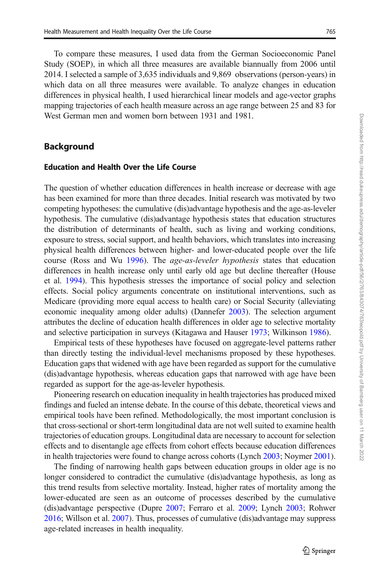To compare these measures, I used data from the German Socioeconomic Panel Study (SOEP), in which all three measures are available biannually from 2006 until 2014. I selected a sample of 3,635 individuals and 9,869 observations (person-years) in which data on all three measures were available. To analyze changes in education differences in physical health, I used hierarchical linear models and age-vector graphs mapping trajectories of each health measure across an age range between 25 and 83 for West German men and women born between 1931 and 1981.

#### Background

#### Education and Health Over the Life Course

The question of whether education differences in health increase or decrease with age has been examined for more than three decades. Initial research was motivated by two competing hypotheses: the cumulative (dis)advantage hypothesis and the age-as-leveler hypothesis. The cumulative (dis)advantage hypothesis states that education structures the distribution of determinants of health, such as living and working conditions, exposure to stress, social support, and health behaviors, which translates into increasing physical health differences between higher- and lower-educated people over the life course (Ross and Wu [1996](#page-20-0)). The age-as-leveler hypothesis states that education differences in health increase only until early old age but decline thereafter (House et al. [1994](#page-19-0)). This hypothesis stresses the importance of social policy and selection effects. Social policy arguments concentrate on institutional interventions, such as Medicare (providing more equal access to health care) or Social Security (alleviating economic inequality among older adults) (Dannefer [2003](#page-19-0)). The selection argument attributes the decline of education health differences in older age to selective mortality and selective participation in surveys (Kitagawa and Hauser [1973](#page-20-0); Wilkinson [1986](#page-21-0)).

Empirical tests of these hypotheses have focused on aggregate-level patterns rather than directly testing the individual-level mechanisms proposed by these hypotheses. Education gaps that widened with age have been regarded as support for the cumulative (dis)advantage hypothesis, whereas education gaps that narrowed with age have been regarded as support for the age-as-leveler hypothesis.

Pioneering research on education inequality in health trajectories has produced mixed findings and fueled an intense debate. In the course of this debate, theoretical views and empirical tools have been refined. Methodologically, the most important conclusion is that cross-sectional or short-term longitudinal data are not well suited to examine health trajectories of education groups. Longitudinal data are necessary to account for selection effects and to disentangle age effects from cohort effects because education differences in health trajectories were found to change across cohorts (Lynch [2003;](#page-20-0) Noymer [2001\)](#page-20-0).

The finding of narrowing health gaps between education groups in older age is no longer considered to contradict the cumulative (dis)advantage hypothesis, as long as this trend results from selective mortality. Instead, higher rates of mortality among the lower-educated are seen as an outcome of processes described by the cumulative (dis)advantage perspective (Dupre [2007;](#page-19-0) Ferraro et al. [2009](#page-19-0); Lynch [2003;](#page-20-0) Rohwer [2016;](#page-20-0) Willson et al. [2007](#page-21-0)). Thus, processes of cumulative (dis)advantage may suppress age-related increases in health inequality.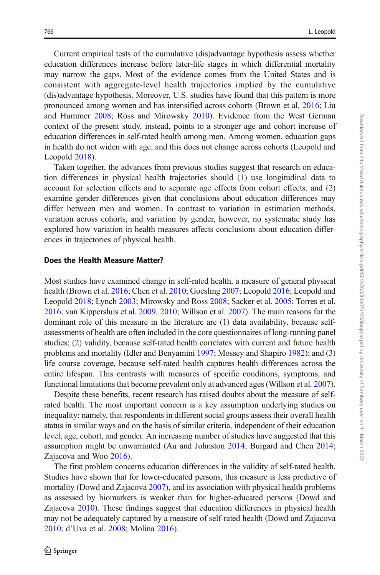Current empirical tests of the cumulative (dis)advantage hypothesis assess whether education differences increase before later-life stages in which differential mortality may narrow the gaps. Most of the evidence comes from the United States and is consistent with aggregate-level health trajectories implied by the cumulative (dis)advantage hypothesis. Moreover, U.S. studies have found that this pattern is more pronounced among women and has intensified across cohorts (Brown et al. [2016](#page-19-0); Liu and Hummer [2008;](#page-20-0) Ross and Mirowsky [2010](#page-20-0)). Evidence from the West German context of the present study, instead, points to a stronger age and cohort increase of education differences in self-rated health among men. Among women, education gaps in health do not widen with age, and this does not change across cohorts (Leopold and Leopold [2018\)](#page-20-0).

Taken together, the advances from previous studies suggest that research on education differences in physical health trajectories should (1) use longitudinal data to account for selection effects and to separate age effects from cohort effects, and (2) examine gender differences given that conclusions about education differences may differ between men and women. In contrast to variation in estimation methods, variation across cohorts, and variation by gender, however, no systematic study has explored how variation in health measures affects conclusions about education differences in trajectories of physical health.

#### Does the Health Measure Matter?

Most studies have examined change in self-rated health, a measure of general physical health (Brown et al. [2016](#page-19-0); Chen et al. [2010](#page-19-0); Goesling [2007](#page-19-0); Leopold [2016](#page-20-0); Leopold and Leopold [2018;](#page-20-0) Lynch [2003](#page-20-0); Mirowsky and Ross [2008;](#page-20-0) Sacker et al. [2005](#page-21-0); Torres et al. [2016;](#page-21-0) van Kippersluis et al. [2009](#page-21-0), [2010;](#page-21-0) Willson et al. [2007\)](#page-21-0). The main reasons for the dominant role of this measure in the literature are (1) data availability, because selfassessments of health are often included in the core questionnaires of long-running panel studies; (2) validity, because self-rated health correlates with current and future health problems and mortality (Idler and Benyamini [1997](#page-19-0); Mossey and Shapiro [1982\)](#page-20-0); and (3) life course coverage, because self-rated health captures health differences across the entire lifespan. This contrasts with measures of specific conditions, symptoms, and functional limitations that become prevalent only at advanced ages (Willson et al. [2007\)](#page-21-0).

Despite these benefits, recent research has raised doubts about the measure of selfrated health. The most important concern is a key assumption underlying studies on inequality: namely, that respondents in different social groups assess their overall health status in similar ways and on the basis of similar criteria, independent of their education level, age, cohort, and gender. An increasing number of studies have suggested that this assumption might be unwarranted (Au and Johnston [2014](#page-18-0); Burgard and Chen [2014;](#page-19-0) Zajacova and Woo [2016](#page-21-0)).

The first problem concerns education differences in the validity of self-rated health. Studies have shown that for lower-educated persons, this measure is less predictive of mortality (Dowd and Zajacova [2007\)](#page-19-0), and its association with physical health problems as assessed by biomarkers is weaker than for higher-educated persons (Dowd and Zajacova [2010\)](#page-19-0). These findings suggest that education differences in physical health may not be adequately captured by a measure of self-rated health (Dowd and Zajacova [2010;](#page-19-0) d'Uva et al. [2008](#page-19-0); Molina [2016](#page-20-0)).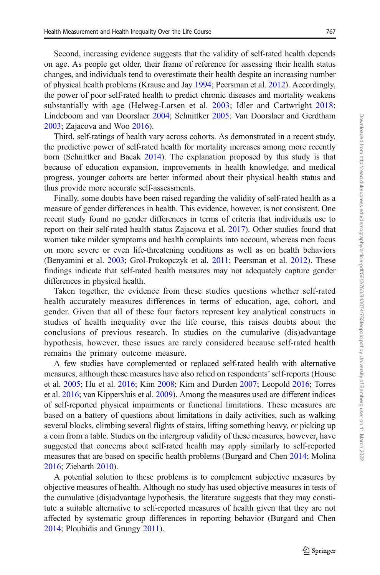Second, increasing evidence suggests that the validity of self-rated health depends on age. As people get older, their frame of reference for assessing their health status changes, and individuals tend to overestimate their health despite an increasing number of physical health problems (Krause and Jay [1994;](#page-20-0) Peersman et al. [2012](#page-20-0)). Accordingly, the power of poor self-rated health to predict chronic diseases and mortality weakens substantially with age (Helweg-Larsen et al. [2003;](#page-19-0) Idler and Cartwright [2018;](#page-19-0) Lindeboom and van Doorslaer [2004](#page-20-0); Schnittker [2005](#page-21-0); Van Doorslaer and Gerdtham [2003;](#page-21-0) Zajacova and Woo [2016](#page-21-0)).

Third, self-ratings of health vary across cohorts. As demonstrated in a recent study, the predictive power of self-rated health for mortality increases among more recently born (Schnittker and Bacak [2014\)](#page-21-0). The explanation proposed by this study is that because of education expansion, improvements in health knowledge, and medical progress, younger cohorts are better informed about their physical health status and thus provide more accurate self-assessments.

Finally, some doubts have been raised regarding the validity of self-rated health as a measure of gender differences in health. This evidence, however, is not consistent. One recent study found no gender differences in terms of criteria that individuals use to report on their self-rated health status Zajacova et al. [2017\)](#page-21-0). Other studies found that women take milder symptoms and health complaints into account, whereas men focus on more severe or even life-threatening conditions as well as on health behaviors (Benyamini et al. [2003;](#page-18-0) Grol-Prokopczyk et al. [2011;](#page-19-0) Peersman et al. [2012\)](#page-20-0). These findings indicate that self-rated health measures may not adequately capture gender differences in physical health.

Taken together, the evidence from these studies questions whether self-rated health accurately measures differences in terms of education, age, cohort, and gender. Given that all of these four factors represent key analytical constructs in studies of health inequality over the life course, this raises doubts about the conclusions of previous research. In studies on the cumulative (dis)advantage hypothesis, however, these issues are rarely considered because self-rated health remains the primary outcome measure.

A few studies have complemented or replaced self-rated health with alternative measures, although these measures have also relied on respondents'self-reports (House et al. [2005](#page-19-0); Hu et al. [2016](#page-19-0); Kim [2008;](#page-19-0) Kim and Durden [2007](#page-20-0); Leopold [2016;](#page-20-0) Torres et al. [2016](#page-21-0); van Kippersluis et al. [2009\)](#page-21-0). Among the measures used are different indices of self-reported physical impairments or functional limitations. These measures are based on a battery of questions about limitations in daily activities, such as walking several blocks, climbing several flights of stairs, lifting something heavy, or picking up a coin from a table. Studies on the intergroup validity of these measures, however, have suggested that concerns about self-rated health may apply similarly to self-reported measures that are based on specific health problems (Burgard and Chen [2014;](#page-19-0) Molina [2016;](#page-20-0) Ziebarth [2010](#page-21-0)).

A potential solution to these problems is to complement subjective measures by objective measures of health. Although no study has used objective measures in tests of the cumulative (dis)advantage hypothesis, the literature suggests that they may constitute a suitable alternative to self-reported measures of health given that they are not affected by systematic group differences in reporting behavior (Burgard and Chen [2014;](#page-19-0) Ploubidis and Grungy [2011\)](#page-20-0).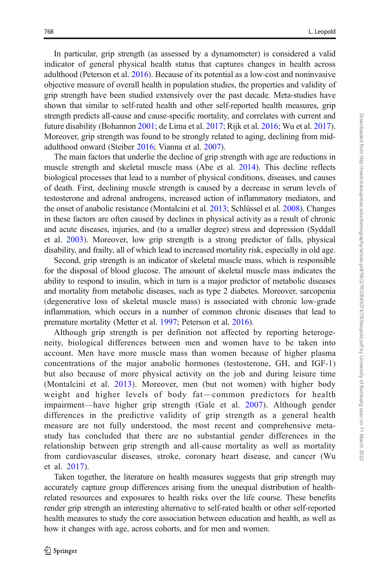In particular, grip strength (as assessed by a dynamometer) is considered a valid indicator of general physical health status that captures changes in health across adulthood (Peterson et al. [2016\)](#page-20-0). Because of its potential as a low-cost and noninvasive objective measure of overall health in population studies, the properties and validity of grip strength have been studied extensively over the past decade. Meta-studies have shown that similar to self-rated health and other self-reported health measures, grip strength predicts all-cause and cause-specific mortality, and correlates with current and future disability (Bohannon [2001](#page-18-0); de Lima et al. [2017](#page-19-0); Rijk et al. [2016;](#page-20-0) Wu et al. [2017\)](#page-21-0). Moreover, grip strength was found to be strongly related to aging, declining from midadulthood onward (Steiber [2016;](#page-21-0) Vianna et al. [2007\)](#page-21-0).

The main factors that underlie the decline of grip strength with age are reductions in muscle strength and skeletal muscle mass (Abe et al. [2014\)](#page-18-0). This decline reflects biological processes that lead to a number of physical conditions, diseases, and causes of death. First, declining muscle strength is caused by a decrease in serum levels of testosterone and adrenal androgens, increased action of inflammatory mediators, and the onset of anabolic resistance (Montalcini et al. [2013](#page-20-0); Schlüssel et al. [2008\)](#page-21-0). Changes in these factors are often caused by declines in physical activity as a result of chronic and acute diseases, injuries, and (to a smaller degree) stress and depression (Syddall et al. [2003\)](#page-21-0). Moreover, low grip strength is a strong predictor of falls, physical disability, and frailty, all of which lead to increased mortality risk, especially in old age.

Second, grip strength is an indicator of skeletal muscle mass, which is responsible for the disposal of blood glucose. The amount of skeletal muscle mass indicates the ability to respond to insulin, which in turn is a major predictor of metabolic diseases and mortality from metabolic diseases, such as type 2 diabetes. Moreover, sarcopenia (degenerative loss of skeletal muscle mass) is associated with chronic low-grade inflammation, which occurs in a number of common chronic diseases that lead to premature mortality (Metter et al. [1997;](#page-20-0) Peterson et al. [2016](#page-20-0)).

Although grip strength is per definition not affected by reporting heterogeneity, biological differences between men and women have to be taken into account. Men have more muscle mass than women because of higher plasma concentrations of the major anabolic hormones (testosterone, GH, and IGF-1) but also because of more physical activity on the job and during leisure time (Montalcini et al. [2013\)](#page-20-0). Moreover, men (but not women) with higher body weight and higher levels of body fat—common predictors for health impairment—have higher grip strength (Gale et al. [2007](#page-19-0)). Although gender differences in the predictive validity of grip strength as a general health measure are not fully understood, the most recent and comprehensive metastudy has concluded that there are no substantial gender differences in the relationship between grip strength and all-cause mortality as well as mortality from cardiovascular diseases, stroke, coronary heart disease, and cancer (Wu et al. [2017\)](#page-21-0).

Taken together, the literature on health measures suggests that grip strength may accurately capture group differences arising from the unequal distribution of healthrelated resources and exposures to health risks over the life course. These benefits render grip strength an interesting alternative to self-rated health or other self-reported health measures to study the core association between education and health, as well as how it changes with age, across cohorts, and for men and women.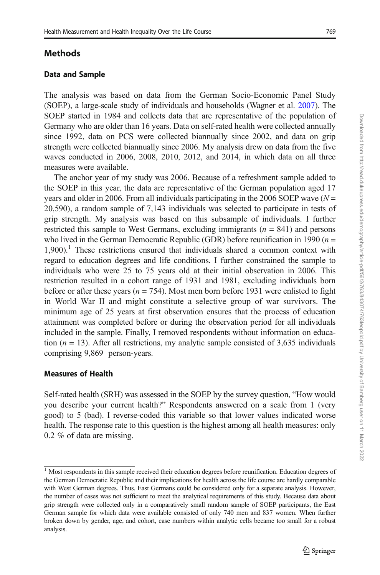# **Methods**

#### Data and Sample

The analysis was based on data from the German Socio-Economic Panel Study (SOEP), a large-sсale study of individuals and households (Wagner et al. [2007](#page-21-0)). The SOEP started in 1984 and collects data that are representative of the population of Germany who are older than 16 years. Data on self-rated health were collected annually since 1992, data on PCS were collected biannually since 2002, and data on grip strength were collected biannually since 2006. My analysis drew on data from the five waves conducted in 2006, 2008, 2010, 2012, and 2014, in which data on all three measures were available.

The anchor year of my study was 2006. Because of a refreshment sample added to the SOEP in this year, the data are representative of the German population aged 17 years and older in 2006. From all individuals participating in the 2006 SOEP wave  $(N =$ 20,590), a random sample of 7,143 individuals was selected to participate in tests of grip strength. My analysis was based on this subsample of individuals. I further restricted this sample to West Germans, excluding immigrants  $(n = 841)$  and persons who lived in the German Democratic Republic (GDR) before reunification in 1990 ( $n =$  $1,900$ .<sup>1</sup> These restrictions ensured that individuals shared a common context with regard to education degrees and life conditions. I further constrained the sample to individuals who were 25 to 75 years old at their initial observation in 2006. This restriction resulted in a cohort range of 1931 and 1981, excluding individuals born before or after these years  $(n = 754)$ . Most men born before 1931 were enlisted to fight in World War II and might constitute a selective group of war survivors. The minimum age of 25 years at first observation ensures that the process of education attainment was completed before or during the observation period for all individuals included in the sample. Finally, I removed respondents without information on education  $(n = 13)$ . After all restrictions, my analytic sample consisted of 3,635 individuals comprising 9,869 person-years.

### Measures of Health

Self-rated health (SRH) was assessed in the SOEP by the survey question, "How would you describe your current health?" Respondents answered on a scale from 1 (very good) to 5 (bad). I reverse-coded this variable so that lower values indicated worse health. The response rate to this question is the highest among all health measures: only 0.2 % of data are missing.

<sup>&</sup>lt;sup>1</sup> Most respondents in this sample received their education degrees before reunification. Education degrees of the German Democratic Republic and their implications for health across the life course are hardly comparable with West German degrees. Thus, East Germans could be considered only for a separate analysis. However, the number of cases was not sufficient to meet the analytical requirements of this study. Because data about grip strength were collected only in a comparatively small random sample of SOEP participants, the East German sample for which data were available consisted of only 740 men and 837 women. When further broken down by gender, age, and cohort, case numbers within analytic cells became too small for a robust analysis.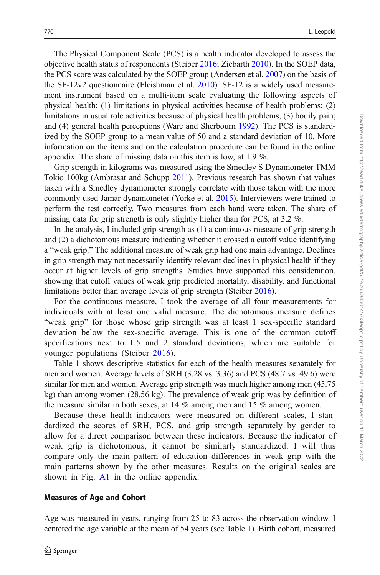The Physical Component Scale (PCS) is a health indicator developed to assess the objective health status of respondents (Steiber [2016;](#page-21-0) Ziebarth [2010\)](#page-21-0). In the SOEP data, the PCS score was calculated by the SOEP group (Andersen et al. [2007\)](#page-18-0) on the basis of the SF-12v2 questionnaire (Fleishman et al.  $2010$ ). SF-12 is a widely used measurement instrument based on a multi-item scale evaluating the following aspects of physical health: (1) limitations in physical activities because of health problems; (2) limitations in usual role activities because of physical health problems; (3) bodily pain; and (4) general health perceptions (Ware and Sherbourn [1992](#page-21-0)). The PCS is standardized by the SOEP group to a mean value of 50 and a standard deviation of 10. More information on the items and on the calculation procedure can be found in the online appendix. The share of missing data on this item is low, at 1.9 %.

Grip strength in kilograms was measured using the Smedley S Dynamometer TMM Tokio 100kg (Ambrasat and Schupp [2011\)](#page-18-0). Previous research has shown that values taken with a Smedley dynamometer strongly correlate with those taken with the more commonly used Jamar dynamometer (Yorke et al. [2015\)](#page-21-0). Interviewers were trained to perform the test correctly. Two measures from each hand were taken. The share of missing data for grip strength is only slightly higher than for PCS, at 3.2 %.

In the analysis, I included grip strength as (1) a continuous measure of grip strength and (2) a dichotomous measure indicating whether it crossed a cutoff value identifying a "weak grip." The additional measure of weak grip had one main advantage. Declines in grip strength may not necessarily identify relevant declines in physical health if they occur at higher levels of grip strengths. Studies have supported this consideration, showing that cutoff values of weak grip predicted mortality, disability, and functional limitations better than average levels of grip strength (Steiber [2016](#page-21-0)).

For the continuous measure, I took the average of all four measurements for individuals with at least one valid measure. The dichotomous measure defines "weak grip" for those whose grip strength was at least 1 sex-specific standard deviation below the sex-specific average. This is one of the common cutoff specifications next to 1.5 and 2 standard deviations, which are suitable for younger populations (Steiber [2016](#page-21-0)).

Table [1](#page-8-0) shows descriptive statistics for each of the health measures separately for men and women. Average levels of SRH (3.28 vs. 3.36) and PCS (48.7 vs. 49.6) were similar for men and women. Average grip strength was much higher among men (45.75 kg) than among women (28.56 kg). The prevalence of weak grip was by definition of the measure similar in both sexes, at 14 % among men and 15 % among women.

Because these health indicators were measured on different scales, I standardized the scores of SRH, PCS, and grip strength separately by gender to allow for a direct comparison between these indicators. Because the indicator of weak grip is dichotomous, it cannot be similarly standardized. I will thus compare only the main pattern of education differences in weak grip with the main patterns shown by the other measures. Results on the original scales are shown in Fig. A1 in the online appendix.

#### Measures of Age and Cohort

Age was measured in years, ranging from 25 to 83 across the observation window. I centered the age variable at the mean of 54 years (see Table [1\)](#page-8-0). Birth cohort, measured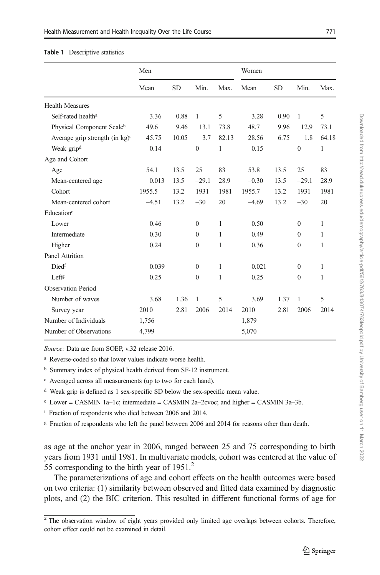#### <span id="page-8-0"></span>Table 1 Descriptive statistics

|                                               | Men     |           |              |       | Women   |           |              |       |
|-----------------------------------------------|---------|-----------|--------------|-------|---------|-----------|--------------|-------|
|                                               | Mean    | <b>SD</b> | Min.         | Max.  | Mean    | <b>SD</b> | Min.         | Max.  |
| <b>Health Measures</b>                        |         |           |              |       |         |           |              |       |
| Self-rated health <sup>a</sup>                | 3.36    | 0.88      | $\mathbf{1}$ | 5     | 3.28    | 0.90      | 1            | 5     |
| Physical Component Scaleb                     | 49.6    | 9.46      | 13.1         | 73.8  | 48.7    | 9.96      | 12.9         | 73.1  |
| Average grip strength (in $kg$ ) <sup>c</sup> | 45.75   | 10.05     | 3.7          | 82.13 | 28.56   | 6.75      | 1.8          | 64.18 |
| Weak grip <sup>d</sup>                        | 0.14    |           | $\mathbf{0}$ | 1     | 0.15    |           | $\mathbf{0}$ | 1     |
| Age and Cohort                                |         |           |              |       |         |           |              |       |
| Age                                           | 54.1    | 13.5      | 25           | 83    | 53.8    | 13.5      | 25           | 83    |
| Mean-centered age                             | 0.013   | 13.5      | $-29.1$      | 28.9  | $-0.30$ | 13.5      | $-29.1$      | 28.9  |
| Cohort                                        | 1955.5  | 13.2      | 1931         | 1981  | 1955.7  | 13.2      | 1931         | 1981  |
| Mean-centered cohort                          | $-4.51$ | 13.2      | $-30$        | 20    | $-4.69$ | 13.2      | $-30$        | 20    |
| Educatione                                    |         |           |              |       |         |           |              |       |
| Lower                                         | 0.46    |           | $\theta$     | 1     | 0.50    |           | $\mathbf{0}$ | 1     |
| Intermediate                                  | 0.30    |           | $\theta$     | 1     | 0.49    |           | $\Omega$     | 1     |
| Higher                                        | 0.24    |           | $\theta$     | 1     | 0.36    |           | $\theta$     | 1     |
| Panel Attrition                               |         |           |              |       |         |           |              |       |
| Diedf                                         | 0.039   |           | $\theta$     | 1     | 0.021   |           | $\Omega$     | 1     |
| Left <sup>g</sup>                             | 0.25    |           | $\mathbf{0}$ | 1     | 0.25    |           | $\theta$     | 1     |
| <b>Observation Period</b>                     |         |           |              |       |         |           |              |       |
| Number of waves                               | 3.68    | 1.36      | 1            | 5     | 3.69    | 1.37      | 1            | 5     |
| Survey year                                   | 2010    | 2.81      | 2006         | 2014  | 2010    | 2.81      | 2006         | 2014  |
| Number of Individuals                         | 1,756   |           |              |       | 1,879   |           |              |       |
| Number of Observations                        | 4,799   |           |              |       | 5,070   |           |              |       |

Source: Data are from SOEP, v.32 release 2016.

<sup>a</sup> Reverse-coded so that lower values indicate worse health.

<sup>b</sup> Summary index of physical health derived from SF-12 instrument.

<sup>c</sup> Averaged across all measurements (up to two for each hand).

<sup>d</sup> Weak grip is defined as 1 sex-specific SD below the sex-specific mean value.

 $e^{\circ}$  Lower = CASMIN 1a–1c; intermediate = CASMIN 2a–2cvoc; and higher = CASMIN 3a–3b.

<sup>f</sup> Fraction of respondents who died between 2006 and 2014.

<sup>g</sup> Fraction of respondents who left the panel between 2006 and 2014 for reasons other than death.

as age at the anchor year in 2006, ranged between 25 and 75 corresponding to birth years from 1931 until 1981. In multivariate models, cohort was centered at the value of 55 corresponding to the birth year of 1951.<sup>2</sup>

The parameterizations of age and cohort effects on the health outcomes were based on two criteria: (1) similarity between observed and fitted data examined by diagnostic plots, and (2) the BIC criterion. This resulted in different functional forms of age for

 $2$  The observation window of eight years provided only limited age overlaps between cohorts. Therefore, cohort effect could not be examined in detail.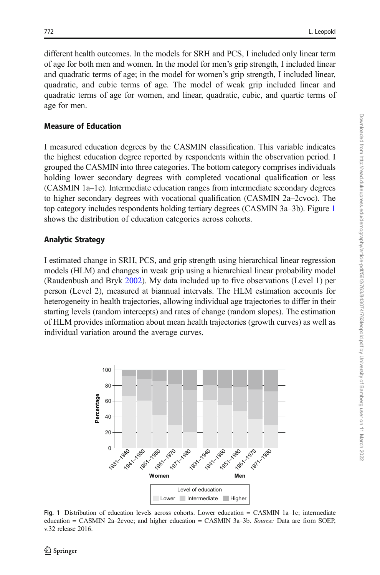different health outcomes. In the models for SRH and PCS, I included only linear term of age for both men and women. In the model for men's grip strength, I included linear and quadratic terms of age; in the model for women's grip strength, I included linear, quadratic, and cubic terms of age. The model of weak grip included linear and quadratic terms of age for women, and linear, quadratic, cubic, and quartic terms of age for men.

### Measure of Education

I measured education degrees by the CASMIN classification. This variable indicates the highest education degree reported by respondents within the observation period. I grouped the CASMIN into three categories. The bottom category comprises individuals holding lower secondary degrees with completed vocational qualification or less (CASMIN 1a–1c). Intermediate education ranges from intermediate secondary degrees to higher secondary degrees with vocational qualification (CASMIN 2a–2cvoc). The top category includes respondents holding tertiary degrees (CASMIN 3a–3b). Figure 1 shows the distribution of education categories across cohorts.

#### Analytic Strategy

I estimated change in SRH, PCS, and grip strength using hierarchical linear regression models (HLM) and changes in weak grip using a hierarchical linear probability model (Raudenbush and Bryk [2002](#page-20-0)). My data included up to five observations (Level 1) per person (Level 2), measured at biannual intervals. The HLM estimation accounts for heterogeneity in health trajectories, allowing individual age trajectories to differ in their starting levels (random intercepts) and rates of change (random slopes). The estimation of HLM provides information about mean health trajectories (growth curves) as well as individual variation around the average curves.



Fig. 1 Distribution of education levels across cohorts. Lower education = CASMIN 1a–1c; intermediate education = CASMIN 2a–2cvoc; and higher education = CASMIN 3a–3b. Source: Data are from SOEP, v.32 release 2016.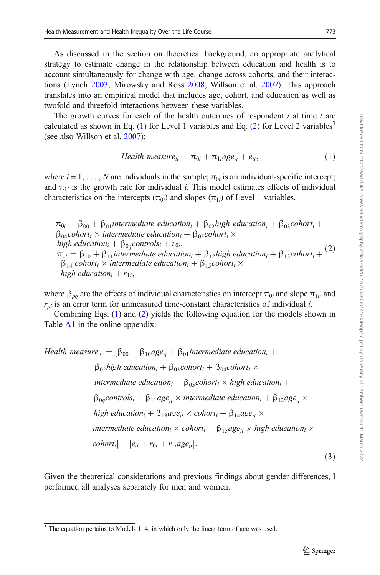As discussed in the section on theoretical background, an appropriate analytical strategy to estimate change in the relationship between education and health is to account simultaneously for change with age, change across cohorts, and their interactions (Lynch [2003](#page-20-0); Mirowsky and Ross [2008;](#page-20-0) Willson et al. [2007\)](#page-21-0). This approach translates into an empirical model that includes age, cohort, and education as well as twofold and threefold interactions between these variables.

The growth curves for each of the health outcomes of respondent  $i$  at time  $t$  are calculated as shown in Eq. (1) for Level 1 variables and Eq. (2) for Level 2 variables<sup>3</sup> (see also Willson et al. [2007\)](#page-21-0):

$$
Health measure_{it} = \pi_{0i} + \pi_{1i}age_{it} + e_{it}, \qquad (1)
$$

where  $i = 1, \ldots, N$  are individuals in the sample;  $\pi_{0i}$  is an individual-specific intercept; and  $\pi_{1i}$  is the growth rate for individual *i*. This model estimates effects of individual characteristics on the intercepts  $(\pi_{0i})$  and slopes  $(\pi_{1i})$  of Level 1 variables.

 $\pi_{0i} = \beta_{00} + \beta_{01}$ intermediate education<sub>i</sub> +  $\beta_{02}$ high education<sub>i</sub> +  $\beta_{03}$ cohort<sub>i</sub> +  $\beta_{04}$ cohort<sub>i</sub>  $\times$  intermediate education<sub>i</sub> +  $\beta_{05}$ cohort<sub>i</sub>  $\times$ high education<sub>i</sub> +  $\beta_{0a}$ controls<sub>i</sub> + r<sub>0i</sub>,  $\pi_{1i} = \beta_{10} + \beta_{11}$ intermediate education<sub>i</sub> +  $\beta_{12}$ high education<sub>i</sub> +  $\beta_{13}$ cohort<sub>i</sub> + <sup>(2)</sup>  $\beta_{14}$  cohort<sub>i</sub>  $\times$  intermediate education<sub>i</sub> +  $\beta_{15}$ cohort<sub>i</sub>  $\times$ high education<sub>i</sub> +  $r_{1i}$ ,

where  $\beta_{pa}$  are the effects of individual characteristics on intercept  $\pi_{0i}$  and slope  $\pi_{1i}$ , and  $r_{pi}$  is an error term for unmeasured time-constant characteristics of individual *i*.

Combining Eqs. (1) and (2) yields the following equation for the models shown in Table A1 in the online appendix:

Health measure<sub>it</sub> =  $\beta_{00} + \beta_{10}$ age<sub>it</sub> +  $\beta_{01}$ intermediate education<sub>i</sub> +  $β<sub>02</sub> high education<sub>i</sub> + β<sub>03</sub> cohort<sub>i</sub> + β<sub>04</sub> cohort<sub>i</sub> ×$ intermediate education<sub>i</sub> +  $\beta_{05}$ cohort<sub>i</sub>  $\times$  high education<sub>i</sub> +  $\beta_{0q}$ controls<sub>i</sub> +  $\beta_{11}$ age<sub>it</sub>  $\times$  intermediate education<sub>i</sub> +  $\beta_{12}$ age<sub>it</sub>  $\times$ high education<sub>i</sub> +  $\beta_{13}$ age<sub>it</sub>  $\times$  cohort<sub>i</sub> +  $\beta_{14}$ age<sub>it</sub>  $\times$ intermediate education<sub>i</sub>  $\times$  cohort<sub>i</sub> +  $\beta_{15}$ age<sub>it</sub>  $\times$  high education<sub>i</sub>  $\times$  $\{cohort_i\} + [e_{it} + r_{0i} + r_{1i}age_{it}].$ 

 $(3)$ 

Given the theoretical considerations and previous findings about gender differences, I performed all analyses separately for men and women.

<sup>&</sup>lt;sup>3</sup> The equation pertains to Models 1–4, in which only the linear term of age was used.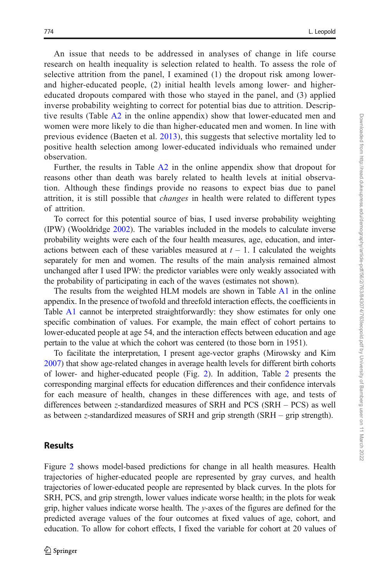An issue that needs to be addressed in analyses of change in life course research on health inequality is selection related to health. To assess the role of selective attrition from the panel, I examined (1) the dropout risk among lowerand higher-educated people, (2) initial health levels among lower- and highereducated dropouts compared with those who stayed in the panel, and (3) applied inverse probability weighting to correct for potential bias due to attrition. Descriptive results (Table A2 in the online appendix) show that lower-educated men and women were more likely to die than higher-educated men and women. In line with previous evidence (Baeten et al. [2013](#page-18-0)), this suggests that selective mortality led to positive health selection among lower-educated individuals who remained under observation.

Further, the results in Table A2 in the online appendix show that dropout for reasons other than death was barely related to health levels at initial observation. Although these findings provide no reasons to expect bias due to panel attrition, it is still possible that changes in health were related to different types of attrition.

To correct for this potential source of bias, I used inverse probability weighting (IPW) (Wooldridge [2002\)](#page-21-0). The variables included in the models to calculate inverse probability weights were each of the four health measures, age, education, and interactions between each of these variables measured at  $t - 1$ . I calculated the weights separately for men and women. The results of the main analysis remained almost unchanged after I used IPW: the predictor variables were only weakly associated with the probability of participating in each of the waves (estimates not shown).

The results from the weighted HLM models are shown in Table A1 in the online appendix. In the presence of twofold and threefold interaction effects, the coefficients in Table A1 cannot be interpreted straightforwardly: they show estimates for only one specific combination of values. For example, the main effect of cohort pertains to lower-educated people at age 54, and the interaction effects between education and age pertain to the value at which the cohort was centered (to those born in 1951).

To facilitate the interpretation, I present age-vector graphs (Mirowsky and Kim [2007\)](#page-20-0) that show age-related changes in average health levels for different birth cohorts of lower- and higher-educated people (Fig. [2\)](#page-12-0). In addition, Table [2](#page-13-0) presents the corresponding marginal effects for education differences and their confidence intervals for each measure of health, changes in these differences with age, and tests of differences between z-standardized measures of SRH and PCS (SRH – PCS) as well as between z-standardized measures of SRH and grip strength (SRH – grip strength).

#### **Results**

Figure [2](#page-12-0) shows model-based predictions for change in all health measures. Health trajectories of higher-educated people are represented by gray curves, and health trajectories of lower-educated people are represented by black curves. In the plots for SRH, PCS, and grip strength, lower values indicate worse health; in the plots for weak grip, higher values indicate worse health. The  $y$ -axes of the figures are defined for the predicted average values of the four outcomes at fixed values of age, cohort, and education. To allow for cohort effects, I fixed the variable for cohort at 20 values of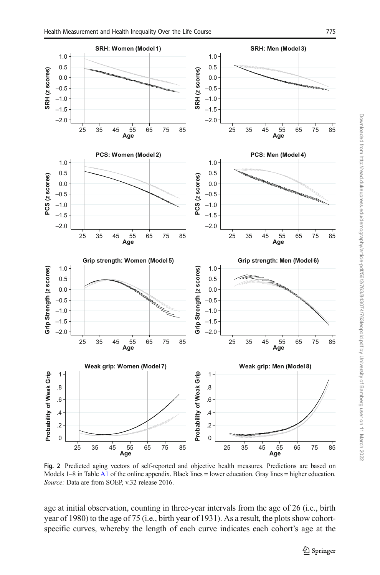<span id="page-12-0"></span>

Fig. 2 Predicted aging vectors of self-reported and objective health measures. Predictions are based on Models 1–8 in Table A1 of the online appendix. Black lines = lower education. Gray lines = higher education. Source: Data are from SOEP, v.32 release 2016.

age at initial observation, counting in three-year intervals from the age of 26 (i.e., birth year of 1980) to the age of 75 (i.e., birth year of 1931). As a result, the plots show cohortspecific curves, whereby the length of each curve indicates each cohort's age at the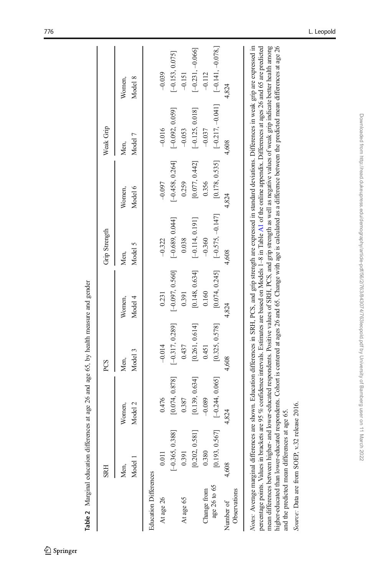<span id="page-13-0"></span>

|                              | <b>SRH</b>        |                   | PCS               |                   | Grip Strength      |                   | Weak Grip          |                      |
|------------------------------|-------------------|-------------------|-------------------|-------------------|--------------------|-------------------|--------------------|----------------------|
|                              | Model<br>Men,     | Model 2<br>Women, | Model 3<br>Men,   | Model 4<br>Women. | Model 5<br>Men,    | Model 6<br>Women. | Model 7<br>Men,    | Model 8<br>Women.    |
| <b>Education Differences</b> |                   |                   |                   |                   |                    |                   |                    |                      |
| At age 26                    | 0.011             | 0.476             | $-0.014$          | 0.231             | $-0.322$           | $-0.097$          | $-0.016$           | $-0.039$             |
|                              | $[-0.365, 0.388]$ | [0.074, 0.878]    | $[-0.317, 0.289]$ | $[-0.097, 0.560]$ | $[-0.689, 0.044]$  | $[-0.458, 0.264]$ | $[-0.092, 0.059]$  | $[-0.153, 0.075]$    |
| At age 65                    | 0.391             | 0.387             | 0.437             | 0.391             | 0.038              | 0.259             | $-0.053$           | $-0.151$             |
|                              | [0.202, 0.581]    | [0.139, 0.634]    | [0.261, 0.614]    | [0.148, 0.634]    | $[-0.114, 0.191]$  | [0.077, 0.442]    | $[-0.125, 0.018]$  | $[-0.231, -0.066]$   |
| Change from                  | 0.380             | $-0.089$          | 0.451             | 0.160             | $-0.360$           | 0.356             | $-0.037$           | $-0.112$             |
| age 26 to 65                 | [0.193, 0.567]    | $[-0.244, 0.065]$ | [0.325, 0.578]    | [0.074, 0.245]    | $[-0.575, -0.147]$ | [0.178, 0.535]    | $[-0.217, -0.041]$ | $[-0.141, -0.078, ]$ |
| Observations<br>Number of    | 4,608             | 4,824             | 4,608             | 4,824             | 4,608              | 4,824             | 4,608              | 4,824                |

percentage points. Values in brackets are 95 % confidence intervals. Estimates are based on Models 1-8 in Table A1 of the online appendix. Differences at ages 26 and 65 are predicted mean differences between higher- and lower-educated respondents. Positive values of SRH, PCS, and grip strength as well as negative values of weak grip indicate better health among higher-educated than lower-educated respondents. Cohort is centered at ages 26 and 65. Change with age is calculated as a difference between the predicted mean differences at age 26 percentage points. Values in brackets are 95 % confidence intervals. Estimates are based on Models 1–8 in Table A1 of the online appendix. Differences at ages 26 and 65 are predicted mean differences between higher- and lower-educated respondents. Positive values of SRH, PCS, and grip strength as well as negative values of weak grip indicate better health among higher-educated than lower-educated respondents. Cohort is centered at ages 26 and 65. Change with age is calculated as a difference between the predicted mean differences at age 26 and the predicted mean differences at age 65. and the predicted mean differences at age 65.

Source: Data are from SOEP, v.32 release 2016. Source: Data are from SOEP, v.32 release 2016.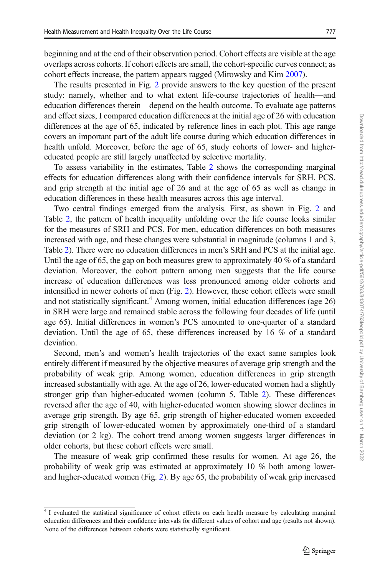beginning and at the end of their observation period. Cohort effects are visible at the age overlaps across cohorts. If cohort effects are small, the cohort-specific curves connect; as cohort effects increase, the pattern appears ragged (Mirowsky and Kim [2007\)](#page-20-0).

The results presented in Fig. [2](#page-12-0) provide answers to the key question of the present study: namely, whether and to what extent life-course trajectories of health—and education differences therein—depend on the health outcome. To evaluate age patterns and effect sizes, I compared education differences at the initial age of 26 with education differences at the age of 65, indicated by reference lines in each plot. This age range covers an important part of the adult life course during which education differences in health unfold. Moreover, before the age of 65, study cohorts of lower- and highereducated people are still largely unaffected by selective mortality.

To assess variability in the estimates, Table [2](#page-13-0) shows the corresponding marginal effects for education differences along with their confidence intervals for SRH, PCS, and grip strength at the initial age of 26 and at the age of 65 as well as change in education differences in these health measures across this age interval.

Two central findings emerged from the analysis. First, as shown in Fig. [2](#page-12-0) and Table [2,](#page-13-0) the pattern of health inequality unfolding over the life course looks similar for the measures of SRH and PCS. For men, education differences on both measures increased with age, and these changes were substantial in magnitude (columns 1 and 3, Table [2\)](#page-13-0). There were no education differences in men's SRH and PCS at the initial age. Until the age of 65, the gap on both measures grew to approximately 40 % of a standard deviation. Moreover, the cohort pattern among men suggests that the life course increase of education differences was less pronounced among older cohorts and intensified in newer cohorts of men (Fig. [2\)](#page-12-0). However, these cohort effects were small and not statistically significant.<sup>4</sup> Among women, initial education differences (age  $26$ ) in SRH were large and remained stable across the following four decades of life (until age 65). Initial differences in women's PCS amounted to one-quarter of a standard deviation. Until the age of 65, these differences increased by 16 % of a standard deviation.

Second, men's and women's health trajectories of the exact same samples look entirely different if measured by the objective measures of average grip strength and the probability of weak grip. Among women, education differences in grip strength increased substantially with age. At the age of 26, lower-educated women had a slightly stronger grip than higher-educated women (column 5, Table [2\)](#page-13-0). These differences reversed after the age of 40, with higher-educated women showing slower declines in average grip strength. By age 65, grip strength of higher-educated women exceeded grip strength of lower-educated women by approximately one-third of a standard deviation (or 2 kg). The cohort trend among women suggests larger differences in older cohorts, but these cohort effects were small.

The measure of weak grip confirmed these results for women. At age 26, the probability of weak grip was estimated at approximately 10 % both among lowerand higher-educated women (Fig. [2](#page-12-0)). By age 65, the probability of weak grip increased

 $4 I$  evaluated the statistical significance of cohort effects on each health measure by calculating marginal education differences and their confidence intervals for different values of cohort and age (results not shown). None of the differences between cohorts were statistically significant.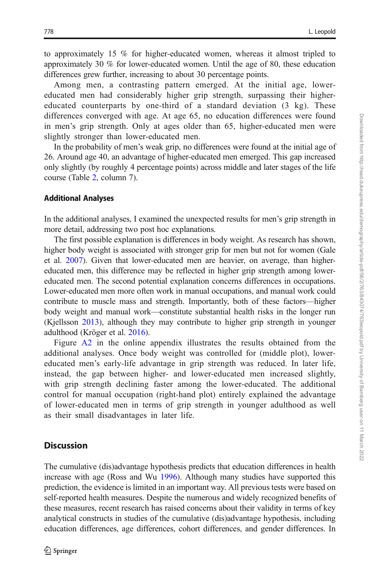to approximately 15 % for higher-educated women, whereas it almost tripled to approximately 30 % for lower-educated women. Until the age of 80, these education differences grew further, increasing to about 30 percentage points.

Among men, a contrasting pattern emerged. At the initial age, lowereducated men had considerably higher grip strength, surpassing their highereducated counterparts by one-third of a standard deviation (3 kg). These differences converged with age. At age 65, no education differences were found in men's grip strength. Only at ages older than 65, higher-educated men were slightly stronger than lower-educated men.

In the probability of men's weak grip, no differences were found at the initial age of 26. Around age 40, an advantage of higher-educated men emerged. This gap increased only slightly (by roughly 4 percentage points) across middle and later stages of the life course (Table [2,](#page-13-0) column 7).

#### Additional Analyses

In the additional analyses, I examined the unexpected results for men's grip strength in more detail, addressing two post hoc explanations.

The first possible explanation is differences in body weight. As research has shown, higher body weight is associated with stronger grip for men but not for women (Gale et al. [2007\)](#page-19-0). Given that lower-educated men are heavier, on average, than highereducated men, this difference may be reflected in higher grip strength among lowereducated men. The second potential explanation concerns differences in occupations. Lower-educated men more often work in manual occupations, and manual work could contribute to muscle mass and strength. Importantly, both of these factors—higher body weight and manual work—constitute substantial health risks in the longer run (Kjellsson [2013\)](#page-20-0), although they may contribute to higher grip strength in younger adulthood (Kröger et al. [2016\)](#page-20-0).

Figure A2 in the online appendix illustrates the results obtained from the additional analyses. Once body weight was controlled for (middle plot), lowereducated men's early-life advantage in grip strength was reduced. In later life, instead, the gap between higher- and lower-educated men increased slightly, with grip strength declining faster among the lower-educated. The additional control for manual occupation (right-hand plot) entirely explained the advantage of lower-educated men in terms of grip strength in younger adulthood as well as their small disadvantages in later life.

# **Discussion**

The cumulative (dis)advantage hypothesis predicts that education differences in health increase with age (Ross and Wu [1996\)](#page-20-0). Although many studies have supported this prediction, the evidence is limited in an important way. All previous tests were based on self-reported health measures. Despite the numerous and widely recognized benefits of these measures, recent research has raised concerns about their validity in terms of key analytical constructs in studies of the cumulative (dis)advantage hypothesis, including education differences, age differences, cohort differences, and gender differences. In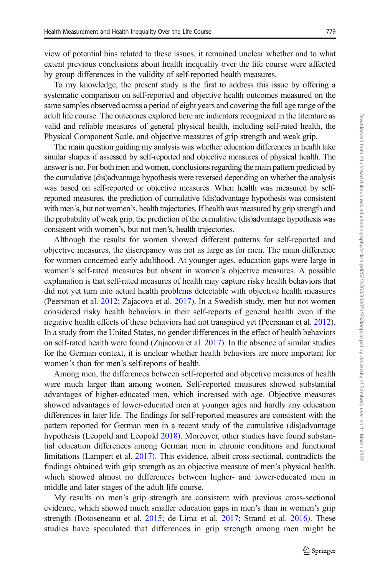view of potential bias related to these issues, it remained unclear whether and to what extent previous conclusions about health inequality over the life course were affected by group differences in the validity of self-reported health measures.

To my knowledge, the present study is the first to address this issue by offering a systematic comparison on self-reported and objective health outcomes measured on the same samples observed across a period of eight years and covering the full age range of the adult life course. The outcomes explored here are indicators recognized in the literature as valid and reliable measures of general physical health, including self-rated health, the Physical Component Scale, and objective measures of grip strength and weak grip.

The main question guiding my analysis was whether education differences in health take similar shapes if assessed by self-reported and objective measures of physical health. The answer is no. For both men and women, conclusions regarding the main pattern predicted by the cumulative (dis)advantage hypothesis were reversed depending on whether the analysis was based on self-reported or objective measures. When health was measured by selfreported measures, the prediction of cumulative (dis)advantage hypothesis was consistent with men's, but not women's, health trajectories. If health was measured by grip strength and the probability of weak grip, the prediction of the cumulative (dis)advantage hypothesis was consistent with women's, but not men's, health trajectories.

Although the results for women showed different patterns for self-reported and objective measures, the discrepancy was not as large as for men. The main difference for women concerned early adulthood. At younger ages, education gaps were large in women's self-rated measures but absent in women's objective measures. A possible explanation is that self-rated measures of health may capture risky health behaviors that did not yet turn into actual health problems detectable with objective health measures (Peersman et al. [2012](#page-20-0); Zajacova et al. [2017](#page-21-0)). In a Swedish study, men but not women considered risky health behaviors in their self-reports of general health even if the negative health effects of these behaviors had not transpired yet (Peersman et al. [2012\)](#page-20-0). In a study from the United States, no gender differences in the effect of health behaviors on self-rated health were found (Zajacova et al. [2017](#page-21-0)). In the absence of similar studies for the German context, it is unclear whether health behaviors are more important for women's than for men's self-reports of health.

Among men, the differences between self-reported and objective measures of health were much larger than among women. Self-reported measures showed substantial advantages of higher-educated men, which increased with age. Objective measures showed advantages of lower-educated men at younger ages and hardly any education differences in later life. The findings for self-reported measures are consistent with the pattern reported for German men in a recent study of the cumulative (dis)advantage hypothesis (Leopold and Leopold [2018](#page-20-0)). Moreover, other studies have found substantial education differences among German men in chronic conditions and functional limitations (Lampert et al. [2017\)](#page-20-0). This evidence, albeit cross-sectional, contradicts the findings obtained with grip strength as an objective measure of men's physical health, which showed almost no differences between higher- and lower-educated men in middle and later stages of the adult life course.

My results on men's grip strength are consistent with previous cross-sectional evidence, which showed much smaller education gaps in men's than in women's grip strength (Botoseneanu et al. [2015](#page-19-0); de Lima et al. [2017;](#page-19-0) Strand et al. [2016\)](#page-21-0). These studies have speculated that differences in grip strength among men might be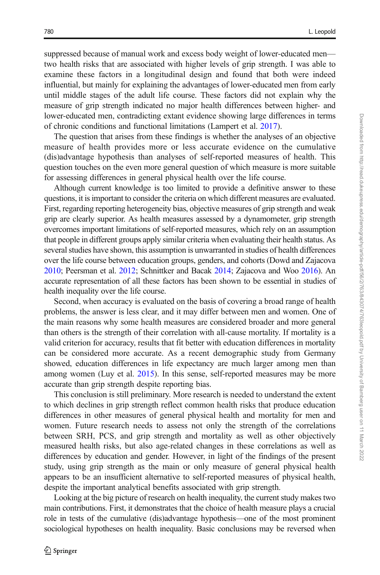suppressed because of manual work and excess body weight of lower-educated men two health risks that are associated with higher levels of grip strength. I was able to examine these factors in a longitudinal design and found that both were indeed influential, but mainly for explaining the advantages of lower-educated men from early until middle stages of the adult life course. These factors did not explain why the measure of grip strength indicated no major health differences between higher- and lower-educated men, contradicting extant evidence showing large differences in terms of chronic conditions and functional limitations (Lampert et al. [2017\)](#page-20-0).

The question that arises from these findings is whether the analyses of an objective measure of health provides more or less accurate evidence on the cumulative (dis)advantage hypothesis than analyses of self-reported measures of health. This question touches on the even more general question of which measure is more suitable for assessing differences in general physical health over the life course.

Although current knowledge is too limited to provide a definitive answer to these questions, it is important to consider the criteria on which different measures are evaluated. First, regarding reporting heterogeneity bias, objective measures of grip strength and weak grip are clearly superior. As health measures assessed by a dynamometer, grip strength overcomes important limitations of self-reported measures, which rely on an assumption that people in different groups apply similar criteria when evaluating their health status. As several studies have shown, this assumption is unwarranted in studies of health differences over the life course between education groups, genders, and cohorts (Dowd and Zajacova [2010](#page-19-0); Peersman et al. [2012;](#page-20-0) Schnittker and Bacak [2014](#page-21-0); Zajacova and Woo [2016\)](#page-21-0). An accurate representation of all these factors has been shown to be essential in studies of health inequality over the life course.

Second, when accuracy is evaluated on the basis of covering a broad range of health problems, the answer is less clear, and it may differ between men and women. One of the main reasons why some health measures are considered broader and more general than others is the strength of their correlation with all-cause mortality. If mortality is a valid criterion for accuracy, results that fit better with education differences in mortality can be considered more accurate. As a recent demographic study from Germany showed, education differences in life expectancy are much larger among men than among women (Luy et al. [2015\)](#page-20-0). In this sense, self-reported measures may be more accurate than grip strength despite reporting bias.

This conclusion is still preliminary. More research is needed to understand the extent to which declines in grip strength reflect common health risks that produce education differences in other measures of general physical health and mortality for men and women. Future research needs to assess not only the strength of the correlations between SRH, PCS, and grip strength and mortality as well as other objectively measured health risks, but also age-related changes in these correlations as well as differences by education and gender. However, in light of the findings of the present study, using grip strength as the main or only measure of general physical health appears to be an insufficient alternative to self-reported measures of physical health, despite the important analytical benefits associated with grip strength.

Looking at the big picture of research on health inequality, the current study makes two main contributions. First, it demonstrates that the choice of health measure plays a crucial role in tests of the cumulative (dis)advantage hypothesis—one of the most prominent sociological hypotheses on health inequality. Basic conclusions may be reversed when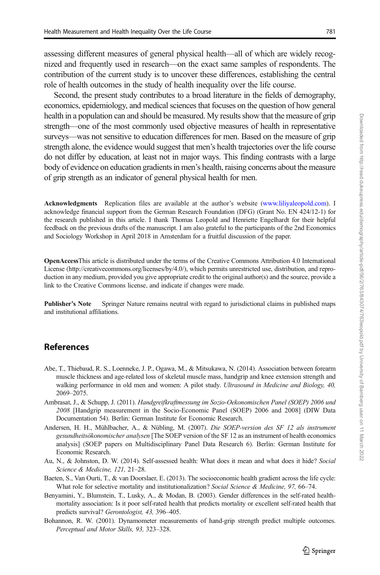<span id="page-18-0"></span>assessing different measures of general physical health—all of which are widely recognized and frequently used in research—on the exact same samples of respondents. The contribution of the current study is to uncover these differences, establishing the central role of health outcomes in the study of health inequality over the life course.

Second, the present study contributes to a broad literature in the fields of demography, economics, epidemiology, and medical sciences that focuses on the question of how general health in a population can and should be measured. My results show that the measure of grip strength—one of the most commonly used objective measures of health in representative surveys—was not sensitive to education differences for men. Based on the measure of grip strength alone, the evidence would suggest that men's health trajectories over the life course do not differ by education, at least not in major ways. This finding contrasts with a large body of evidence on education gradients in men's health, raising concerns about the measure of grip strength as an indicator of general physical health for men.

Acknowledgments Replication files are available at the author's website [\(www.liliyaleopold.com\)](http://www.liliyaleopold.com). I acknowledge financial support from the German Research Foundation (DFG) (Grant No. EN 424/12-1) for the research published in this article. I thank Thomas Leopold and Henriette Engelhardt for their helpful feedback on the previous drafts of the manuscript. I am also grateful to the participants of the 2nd Economics and Sociology Workshop in April 2018 in Amsterdam for a fruitful discussion of the paper.

OpenAccessThis article is distributed under the terms of the Creative Commons Attribution 4.0 International License (http://creativecommons.org/licenses/by/4.0/), which permits unrestricted use, distribution, and reproduction in any medium, provided you give appropriate credit to the original author(s) and the source, provide a link to the Creative Commons license, and indicate if changes were made.

Publisher's Note Springer Nature remains neutral with regard to jurisdictional claims in published maps and institutional affiliations.

# References

- Abe, T., Thiebaud, R. S., Loenneke, J. P., Ogawa, M., & Mitsukawa, N. (2014). Association between forearm muscle thickness and age-related loss of skeletal muscle mass, handgrip and knee extension strength and walking performance in old men and women: A pilot study. Ultrasound in Medicine and Biology, 40, 2069–2075.
- Ambrasat, J., & Schupp, J. (2011). Handgreifkraftmessung im Sozio-Oekonomischen Panel (SOEP) 2006 und 2008 [Handgrip measurement in the Socio-Economic Panel (SOEP) 2006 and 2008] (DIW Data Documentation 54). Berlin: German Institute for Economic Research.
- Andersen, H. H., Mühlbacher, A., & Nübling, M. (2007). Die SOEP-version des SF 12 als instrument gesundheitsökonomischer analysen [The SOEP version of the SF 12 as an instrument of health economics analysis] (SOEP papers on Multidisciplinary Panel Data Research 6). Berlin: German Institute for Economic Research.
- Au, N., & Johnston, D. W. (2014). Self-assessed health: What does it mean and what does it hide? Social Science & Medicine, 121, 21–28.
- Baeten, S., Van Ourti, T., & van Doorslaer, E. (2013). The socioeconomic health gradient across the life cycle: What role for selective mortality and institutionalization? Social Science & Medicine, 97, 66–74.
- Benyamini, Y., Blumstein, T., Lusky, A., & Modan, B. (2003). Gender differences in the self-rated healthmortality association: Is it poor self-rated health that predicts mortality or excellent self-rated health that predicts survival? Gerontologist, 43, 396–405.
- Bohannon, R. W. (2001). Dynamometer measurements of hand-grip strength predict multiple outcomes. Perceptual and Motor Skills, 93, 323–328.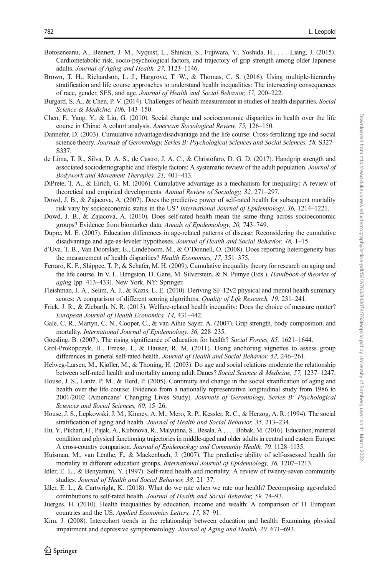- <span id="page-19-0"></span>Botoseneanu, A., Bennett, J. M., Nyquist, L., Shinkai, S., Fujiwara, Y., Yoshida, H., . . . Liang, J. (2015). Cardiometabolic risk, socio-psychological factors, and trajectory of grip strength among older Japanese adults. Journal of Aging and Health, 27, 1123–1146.
- Brown, T. H., Richardson, L. J., Hargrove, T. W., & Thomas, C. S. (2016). Using multiple-hierarchy stratification and life course approaches to understand health inequalities: The intersecting consequences of race, gender, SES, and age. Journal of Health and Social Behavior, 57, 200–222.
- Burgard, S. A., & Chen, P. V. (2014). Challenges of health measurement in studies of health disparities. Social Science & Medicine, 106, 143–150.
- Chen, F., Yang, Y., & Liu, G. (2010). Social change and socioeconomic disparities in health over the life course in China: A cohort analysis. American Sociological Review, 75, 126–150.
- Dannefer, D. (2003). Cumulative advantage/disadvantage and the life course: Cross-fertilizing age and social science theory. Journals of Gerontology, Series B: Psychological Sciences and Social Sciences, 58, S327– S337.
- de Lima, T. R., Silva, D. A. S., de Castro, J. A. C., & Christofaro, D. G. D. (2017). Handgrip strength and associated sociodemographic and lifestyle factors: A systematic review of the adult population. Journal of Bodywork and Movement Therapies, 21, 401–413.
- DiPrete, T. A., & Eirich, G. M. (2006). Cumulative advantage as a mechanism for inequality: A review of theoretical and empirical developments. Annual Review of Sociology, 32, 271–297.
- Dowd, J. B., & Zajacova, A. (2007). Does the predictive power of self-rated health for subsequent mortality risk vary by socioeconomic status in the US? International Journal of Epidemiology, 36, 1214–1221.
- Dowd, J. B., & Zajacova, A. (2010). Does self-rated health mean the same thing across socioeconomic groups? Evidence from biomarker data. Annals of Epidemiology, 20, 743–749.
- Dupre, M. E. (2007). Education differences in age-related patterns of disease: Reconsidering the cumulative disadvantage and age-as-leveler hypotheses. Journal of Health and Social Behavior, 48, 1–15.
- d'Uva, T. B., Van Doorslaer, E., Lindeboom, M., & O'Donnell, O. (2008). Does reporting heterogeneity bias the measurement of health disparities? Health Economics, 17, 351–375.
- Ferraro, K. F., Shippee, T. P., & Schafer, M. H. (2009). Cumulative inequality theory for research on aging and the life course. In V. L. Bengston, D. Gans, M. Silverstein, & N. Putnye (Eds.), Handbook of theories of aging (pp. 413–433). New York, NY: Springer.
- Fleishman, J. A., Selim, A. J., & Kazis, L. E. (2010). Deriving SF-12v2 physical and mental health summary scores: A comparison of different scoring algorithms. *Quality of Life Research*, 19, 231–241.
- Frick, J. R., & Ziebarth, N. R. (2013). Welfare-related health inequality: Does the choice of measure matter? European Journal of Health Economics, 14, 431–442.

Gale, C. R., Martyn, C. N., Cooper, C., & van Aihie Sayer, A. (2007). Grip strength, body composition, and mortality. International Journal of Epidemiology, 36, 228–235.

- Goesling, B. (2007). The rising significance of education for health? Social Forces, 85, 1621–1644.
- Grol-Prokopczyk, H., Freese, J., & Hauser, R. M. (2011). Using anchoring vignettes to assess group differences in general self-rated health. Journal of Health and Social Behavior, 52, 246–261.
- Helweg-Larsen, M., Kjøller, M., & Thoning, H. (2003). Do age and social relations moderate the relationship between self-rated health and mortality among adult Danes? Social Science & Medicine, 57, 1237–1247.
- House, J. S., Lantz, P. M., & Herd, P. (2005). Continuity and change in the social stratification of aging and health over the life course: Evidence from a nationally representative longitudinal study from 1986 to 2001/2002 (Americans' Changing Lives Study). Journals of Gerontology, Series B: Psychological Sciences and Social Sciences, 60, 15–26.
- House, J. S., Lepkowski, J. M., Kinney, A. M., Mero, R. P., Kessler, R. C., & Herzog, A. R. (1994). The social stratification of aging and health. Journal of Health and Social Behavior, 35, 213–234.
- Hu, Y., Pikhart, H., Pajak, A., Kubinova, R., Malyutina, S., Besala, A., . . . Bobak, M. (2016). Education, material condition and physical functioning trajectories in middle-aged and older adults in central and eastern Europe: A cross-country comparison. Journal of Epidemiology and Community Health, 70, 1128–1135.
- Huisman, M., van Lenthe, F., & Mackenbach, J. (2007). The predictive ability of self-assessed health for mortality in different education groups. International Journal of Epidemiology, 36, 1207–1213.
- Idler, E. L., & Benyamini, Y. (1997). Self-rated health and mortality: A review of twenty-seven community studies. Journal of Health and Social Behavior, 38, 21–37.
- Idler, E. L., & Cartwright, K. (2018). What do we rate when we rate our health? Decomposing age-related contributions to self-rated health. Journal of Health and Social Behavior, 59, 74–93.
- Juerges, H. (2010). Health inequalities by education, income and wealth: A comparison of 11 European countries and the US. Applied Economics Letters, 17, 87–91.
- Kim, J. (2008). Intercohort trends in the relationship between education and health: Examining physical impairment and depressive symptomatology. Journal of Aging and Health, 20, 671–693.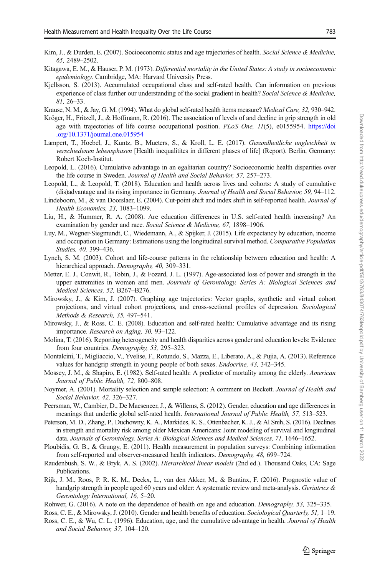- 
- <span id="page-20-0"></span>Kim, J., & Durden, E. (2007). Socioeconomic status and age trajectories of health. Social Science & Medicine, 65, 2489–2502.
- Kitagawa, E. M., & Hauser, P. M. (1973). Differential mortality in the United States: A study in socioeconomic epidemiology. Cambridge, MA: Harvard University Press.
- Kjellsson, S. (2013). Accumulated occupational class and self-rated health. Can information on previous experience of class further our understanding of the social gradient in health? Social Science & Medicine, 81, 26–33.

Krause, N. M., & Jay, G. M. (1994). What do global self-rated health items measure? Medical Care, 32, 930–942.

- Kröger, H., Fritzell, J., & Hoffmann, R. (2016). The association of levels of and decline in grip strength in old age with trajectories of life course occupational position. PLoS One, 11(5), e0155954. [https://doi](https://doi.org/10.1371/journal.one.015954) [.org/10.1371/journal.one.015954](https://doi.org/10.1371/journal.one.015954)
- Lampert, T., Hoebel, J., Kuntz, B., Mueters, S., & Kroll, L. E. (2017). Gesundheitliche ungleichheit in verschiedenen lebensphasen [Health inequalitites in different phases of life] (Report). Berlin, Germany: Robert Koch-Institut.
- Leopold, L. (2016). Cumulative advantage in an egalitarian country? Socioeconomic health disparities over the life course in Sweden. Journal of Health and Social Behavior, 57, 257–273.
- Leopold, L., & Leopold, T. (2018). Education and health across lives and cohorts: A study of cumulative (dis)advantage and its rising importance in Germany. Journal of Health and Social Behavior, 59, 94–112.
- Lindeboom, M., & van Doorslaer, E. (2004). Cut-point shift and index shift in self-reported health. Journal of Health Economics, 23, 1083–1099.
- Liu, H., & Hummer, R. A. (2008). Are education differences in U.S. self-rated health increasing? An examination by gender and race. Social Science & Medicine, 67, 1898–1906.
- Luy, M., Wegner-Siegmundt, C., Wiedemann, A., & Spijker, J. (2015). Life expectancy by education, income and occupation in Germany: Estimations using the longitudinal survival method. Comparative Population Studies, 40, 399–436.
- Lynch, S. M. (2003). Cohort and life-course patterns in the relationship between education and health: A hierarchical approach. Demography, 40, 309-331.
- Metter, E. J., Conwit, R., Tobin, J., & Fozard, J. L. (1997). Age-associated loss of power and strength in the upper extremities in women and men. Journals of Gerontology, Series A: Biological Sciences and Medical Sciences, 52, B267–B276.
- Mirowsky, J., & Kim, J. (2007). Graphing age trajectories: Vector graphs, synthetic and virtual cohort projections, and virtual cohort projections, and cross-sectional profiles of depression. Sociological Methods & Research, 35, 497–541.
- Mirowsky, J., & Ross, C. E. (2008). Education and self-rated health: Cumulative advantage and its rising importance. Research on Aging, 30, 93–122.
- Molina, T. (2016). Reporting heterogeneity and health disparities across gender and education levels: Evidence from four countries. Demography, 53, 295–323.
- Montalcini, T., Migliaccio, V., Yvelise, F., Rotundo, S., Mazza, E., Liberato, A., & Pujia, A. (2013). Reference values for handgrip strength in young people of both sexes. Endocrine, 43, 342–345.
- Mossey, J. M., & Shapiro, E. (1982). Self-rated health: A predictor of mortality among the elderly. American Journal of Public Health, 72, 800–808.
- Noymer, A. (2001). Mortality selection and sample selection: A comment on Beckett. Journal of Health and Social Behavior, 42, 326–327.
- Peersman, W., Cambier, D., De Maeseneer, J., & Willems, S. (2012). Gender, education and age differences in meanings that underlie global self-rated health. International Journal of Public Health, 57, 513–523.
- Peterson, M. D., Zhang, P., Duchowny, K. A., Markides, K. S., Ottenbacher, K. J., & Al Snih, S. (2016). Declines in strength and mortality risk among older Mexican Americans: Joint modeling of survival and longitudinal data. Journals of Gerontology, Series A: Biological Sciences and Medical Sciences, 71, 1646–1652.
- Ploubidis, G. B., & Grungy, E. (2011). Health measurement in population surveys: Combining information from self-reported and observer-measured health indicators. Demography, 48, 699–724.
- Raudenbush, S. W., & Bryk, A. S. (2002). Hierarchical linear models (2nd ed.). Thousand Oaks, CA: Sage Publications.
- Rijk, J. M., Roos, P. R. K. M., Deckx, L., van den Akker, M., & Buntinx, F. (2016). Prognostic value of handgrip strength in people aged 60 years and older: A systematic review and meta-analysis. Geriatrics & Gerontology International, 16, 5–20.
- Rohwer, G. (2016). A note on the dependence of health on age and education. Demography, 53, 325–335.
- Ross, C. E., & Mirowsky, J. (2010). Gender and health benefits of education. Sociological Quarterly, 51, 1–19. Ross, C. E., & Wu, C. L. (1996). Education, age, and the cumulative advantage in health. Journal of Health
- and Social Behavior, 37, 104–120.